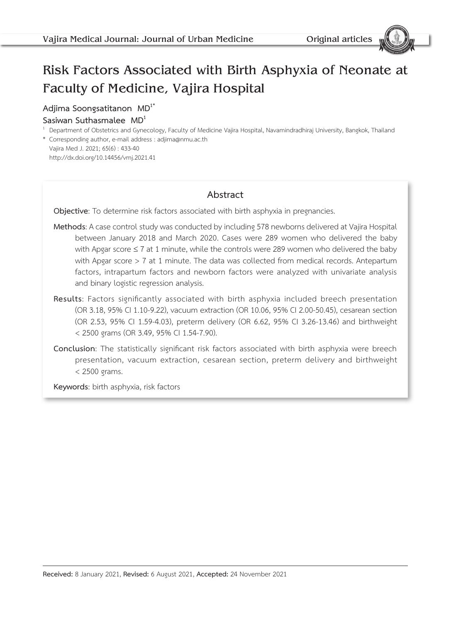# Risk Factors Associated with Birth Asphyxia of Neonate at Faculty of Medicine, Vajira Hospital

### **Adjima Soongsatitanon MD1\***

#### **Sasiwan Suthasmalee MD1**

<sup>1</sup> Department of Obstetrics and Gynecology, Faculty of Medicine Vajira Hospital, Navamindradhiraj University, Bangkok, Thailand \* Corresponding author, e-mail address : adjima@nmu.ac.th

Vajira Med J. 2021; 65(6) : 433-40 http://dx.doi.org/10.14456/vmj.2021.41

## **Abstract**

**Objective**: To determine risk factors associated with birth asphyxia in pregnancies.

- **Methods**: A case control study was conducted by including 578 newborns delivered at Vajira Hospital between January 2018 and March 2020. Cases were 289 women who delivered the baby with Apgar score  $\leq 7$  at 1 minute, while the controls were 289 women who delivered the baby with Apgar score > 7 at 1 minute. The data was collected from medical records. Antepartum factors, intrapartum factors and newborn factors were analyzed with univariate analysis and binary logistic regression analysis.
- **Results**: Factors significantly associated with birth asphyxia included breech presentation (OR 3.18, 95% CI 1.10-9.22), vacuum extraction (OR 10.06, 95% CI 2.00-50.45), cesarean section (OR 2.53, 95% CI 1.59-4.03), preterm delivery (OR 6.62, 95% CI 3.26-13.46) and birthweight < 2500 grams (OR 3.49, 95% CI 1.54-7.90).
- **Conclusion**: The statistically significant risk factors associated with birth asphyxia were breech presentation, vacuum extraction, cesarean section, preterm delivery and birthweight < 2500 grams.

**Keywords**: birth asphyxia, risk factors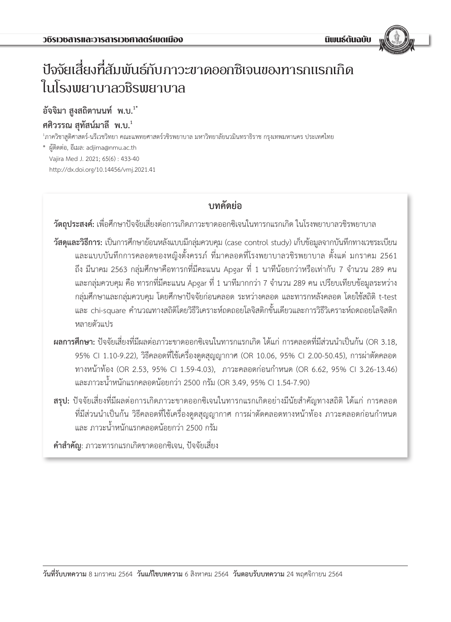# ปัจจัยเสี่ยงที่สัมพันธ์กับภาวะขาดออกซิเจนของทารกแรกเกิด ในโรงพยาบาลวชิรพยาบาล

# **อัจจิมา สูงสถิตานนท์ พ.บ.1\* ศศิวรรณ สุทัสน์มาลี พ.บ.<sup>1</sup>**

<sup>1</sup>ภาควิชาสูติศาสตร์-นรีเวชวิทยา คณะแพทยศาสตร์วชิรพยาบาล มหาวิทยาลัยนวมินทราธิราช กรุงเทพมหานคร ประเทศไทย

\* ผู้ติดต่อ, อีเมล: adjima@nmu.ac.th Vajira Med J. 2021; 65(6) : 433-40 http://dx.doi.org/10.14456/vmj.2021.41

# **บทคัดย่อ**

**วัตถุประสงค์:** เพื่อศึกษาปัจจัยเสี่ยงต่อการเกิดภาวะขาดออกซิเจนในทารกแรกเกิด ในโรงพยาบาลวชิรพยาบาล

- **วัสดุและวิธีการ:** เป็นการศึกษาย้อนหลังแบบมีกลุ่มควบคุม (case control study) เก็บข้อมูลจากบันทึกทางเวชระเบียน และแบบบันทึกการคลอดของหญิงตั้งครรภ์ ที่มาคลอดที่โรงพยาบาลวชิรพยาบาล ตั้งแต่ มกราคม 2561 ถึง มีนาคม 2563 กลุ่มศึกษาคือทารกที่มีคะแนน Apgar ที่ 1 นาทีน้อยกว่าหรือเท่ากับ 7 จำนวน 289 คน และกลุ่มควบคุม คือ ทารกที่มีคะแนน Apgar ที่ 1 นาทีมากกว่า 7 จำนวน 289 คน เปรียบเทียบข้อมูลระหว่าง กลุ่มศึกษาและกลุ่มควบคุม โดยศึกษาปัจจัยก่อนคลอด ระหว่างคลอด และทารกหลังคลอด โดยใช้สถิติ t-test และ chi-square คำนวณทางสถิติโดยวิธีวิเคราะห์ถดถอยโลจิสติกขั้นเดียวและการวิธีวิเคราะห์ถดถอยโลจิสติก หลายตัวแปร
- **ผลการศึกษา:** ปัจจัยเสี่ยงที่มีผลต่อภาวะขาดออกซิเจนในทารกแรกเกิด ได้แก่ การคลอดที่มีส่วนน�ำเป็นก้น (OR 3.18, 95% CI 1.10-9.22), วิธีคลอดที่ใช้เครื่องดูดสุญญากาศ (OR 10.06, 95% CI 2.00-50.45), การผ่าตัดคลอด ทางหน้าท้อง (OR 2.53, 95% CI 1.59-4.03), ภาวะคลอดก่อนก�ำหนด (OR 6.62, 95% CI 3.26-13.46) และภาวะน�้ำหนักแรกคลอดน้อยกว่า 2500 กรัม (OR 3.49, 95% CI 1.54-7.90)
- ี **สรุป:** ปัจจัยเสี่ยงที่มีผลต่อการเกิดภาวะขาดออกซิเจนในทารกแรกเกิดอย่างมีนัยสำคัญทางสถิติ ได้แก่ การคลอด ที่มีส่วนนำเป็นก้น วิธีคลอดที่ใช้เครื่องดูดสุญญากาศ การผ่าตัดคลอดทางหน้าท้อง ภาวะคลอดก่อนกำหนด และ ภาวะน�้ำหนักแรกคลอดน้อยกว่า 2500 กรัม

**ค�ำส�ำคัญ**: ภาวะทารกแรกเกิดขาดออกซิเจน, ปัจจัยเสี่ยง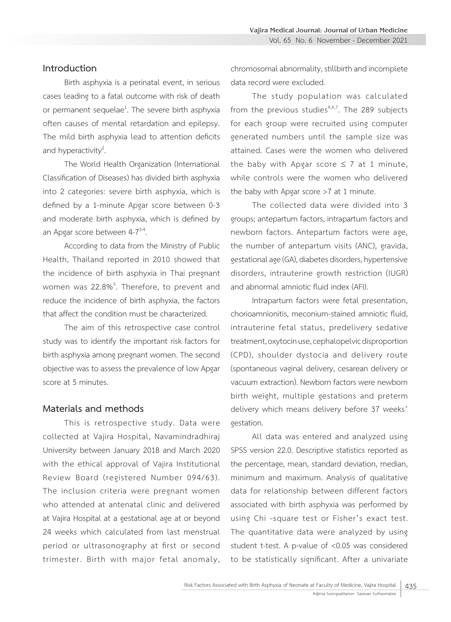#### **Introduction**

Birth asphyxia is a perinatal event, in serious cases leading to a fatal outcome with risk of death or permanent sequelae<sup>1</sup>. The severe birth asphyxia often causes of mental retardation and epilepsy. The mild birth asphyxia lead to attention deficits and hyperactivity<sup>2</sup>. .

The World Health Organization (International Classification of Diseases) has divided birth asphyxia into 2 categories: severe birth asphyxia, which is defined by a 1-minute Apgar score between 0-3 and moderate birth asphyxia, which is defined by an Apgar score between  $4-7^{3-4}$ .

According to data from the Ministry of Public Health, Thailand reported in 2010 showed that the incidence of birth asphyxia in Thai pregnant women was 22.8%<sup>5</sup>. Therefore, to prevent and reduce the incidence of birth asphyxia, the factors that affect the condition must be characterized.

The aim of this retrospective case control study was to identify the important risk factors for birth asphyxia among pregnant women. The second objective was to assess the prevalence of low Apgar score at 5 minutes.

#### **Materials and methods**

This is retrospective study. Data were collected at Vajira Hospital, Navamindradhiraj University between January 2018 and March 2020 with the ethical approval of Vajira Institutional Review Board (registered Number 094/63). The inclusion criteria were pregnant women who attended at antenatal clinic and delivered at Vajira Hospital at a gestational age at or beyond 24 weeks which calculated from last menstrual period or ultrasonography at first or second trimester. Birth with major fetal anomaly, chromosomal abnormality, stillbirth and incomplete data record were excluded.

The study population was calculated from the previous studies<sup>4,6,7</sup>. The 289 subjects for each group were recruited using computer generated numbers until the sample size was attained. Cases were the women who delivered the baby with Apgar score  $\leq 7$  at 1 minute, while controls were the women who delivered the baby with Apgar score >7 at 1 minute.

The collected data were divided into 3 groups; antepartum factors, intrapartum factors and newborn factors. Antepartum factors were age, the number of antepartum visits (ANC), gravida, gestational age (GA), diabetes disorders, hypertensive disorders, intrauterine growth restriction (IUGR) and abnormal amniotic fluid index (AFI).

Intrapartum factors were fetal presentation, chorioamnionitis, meconium-stained amniotic fluid, intrauterine fetal status, predelivery sedative treatment, oxytocin use, cephalopelvic disproportion (CPD), shoulder dystocia and delivery route (spontaneous vaginal delivery, cesarean delivery or vacuum extraction). Newborn factors were newborn birth weight, multiple gestations and preterm delivery which means delivery before 37 weeks' gestation.

All data was entered and analyzed using SPSS version 22.0. Descriptive statistics reported as the percentage, mean, standard deviation, median, minimum and maximum. Analysis of qualitative data for relationship between different factors associated with birth asphyxia was performed by using Chi -square test or Fisher's exact test. The quantitative data were analyzed by using student t-test. A p-value of <0.05 was considered to be statistically significant. After a univariate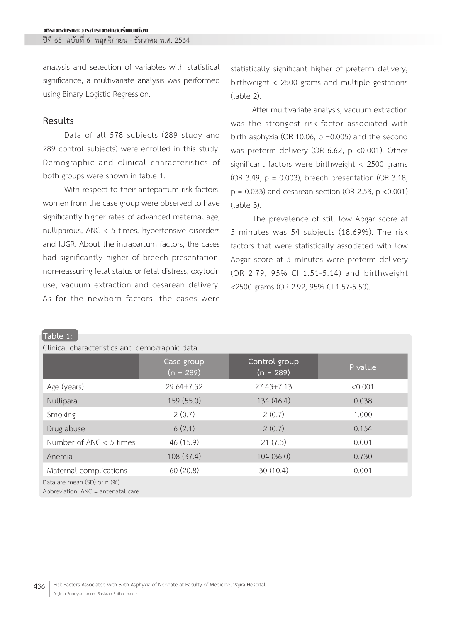ปีที่ 65 ฉบับที่ 6 พฤศจิกายน - ธันวาคม พ.ศ. 2564

analysis and selection of variables with statistical significance, a multivariate analysis was performed using Binary Logistic Regression.

### **Results**

**Table 1:**

Data of all 578 subjects (289 study and 289 control subjects) were enrolled in this study. Demographic and clinical characteristics of both groups were shown in table 1.

With respect to their antepartum risk factors, women from the case group were observed to have significantly higher rates of advanced maternal age, nulliparous, ANC < 5 times, hypertensive disorders and IUGR. About the intrapartum factors, the cases had significantly higher of breech presentation, non-reassuring fetal status or fetal distress, oxytocin use, vacuum extraction and cesarean delivery. As for the newborn factors, the cases were

statistically significant higher of preterm delivery, birthweight < 2500 grams and multiple gestations (table 2).

After multivariate analysis, vacuum extraction was the strongest risk factor associated with birth asphyxia (OR 10.06,  $p = 0.005$ ) and the second was preterm delivery (OR 6.62, p <0.001). Other significant factors were birthweight < 2500 grams (OR 3.49, p = 0.003), breech presentation (OR 3.18,  $p = 0.033$ ) and cesarean section (OR 2.53,  $p < 0.001$ ) (table 3).

The prevalence of still low Apgar score at 5 minutes was 54 subjects (18.69%). The risk factors that were statistically associated with low Apgar score at 5 minutes were preterm delivery (OR 2.79, 95% CI 1.51-5.14) and birthweight <2500 grams (OR 2.92, 95% CI 1.57-5.50).

| Clinical characteristics and demographic data                     |                           |                              |         |  |  |  |  |
|-------------------------------------------------------------------|---------------------------|------------------------------|---------|--|--|--|--|
|                                                                   | Case group<br>$(n = 289)$ | Control group<br>$(n = 289)$ | P value |  |  |  |  |
| Age (years)                                                       | 29.64±7.32                | $27.43 \pm 7.13$             | < 0.001 |  |  |  |  |
| Nullipara                                                         | 159 (55.0)                | 134 (46.4)                   | 0.038   |  |  |  |  |
| Smoking                                                           | 2(0.7)                    | 2(0.7)                       | 1.000   |  |  |  |  |
| Drug abuse                                                        | 6(2.1)                    | 2(0.7)                       | 0.154   |  |  |  |  |
| Number of ANC $<$ 5 times                                         | 46 (15.9)                 | 21(7.3)                      | 0.001   |  |  |  |  |
| Anemia                                                            | 108 (37.4)                | 104(36.0)                    | 0.730   |  |  |  |  |
| Maternal complications                                            | 60(20.8)                  | 30(10.4)                     | 0.001   |  |  |  |  |
| Data are mean (SD) or n (%)<br>Abbreviation: ANC = antenatal care |                           |                              |         |  |  |  |  |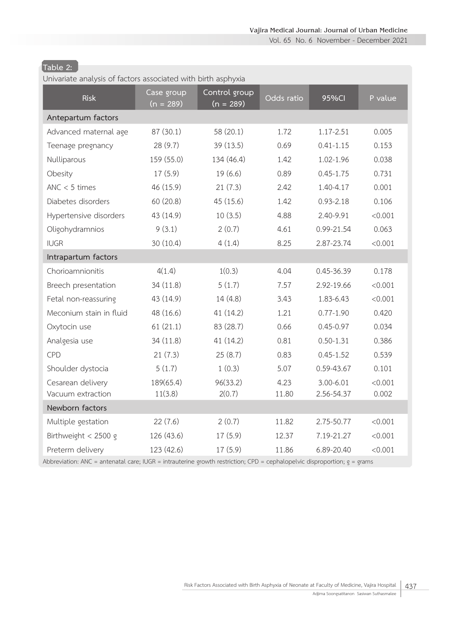Vol. 65 No. 6 November - December 2021

# **Table 2:**

Univariate analysis of factors associated with birth asphyxia

| Case group<br>$(n = 289)$ | Control group<br>$(n = 289)$ | Odds ratio | 95%CI         | P value                                                                                                                  |
|---------------------------|------------------------------|------------|---------------|--------------------------------------------------------------------------------------------------------------------------|
|                           |                              |            |               |                                                                                                                          |
| 87 (30.1)                 | 58 (20.1)                    | 1.72       | 1.17-2.51     | 0.005                                                                                                                    |
| 28 (9.7)                  | 39(13.5)                     | 0.69       | $0.41 - 1.15$ | 0.153                                                                                                                    |
| 159 (55.0)                | 134 (46.4)                   | 1.42       | 1.02-1.96     | 0.038                                                                                                                    |
| 17(5.9)                   | 19(6.6)                      | 0.89       | $0.45 - 1.75$ | 0.731                                                                                                                    |
| 46 (15.9)                 | 21(7.3)                      | 2.42       | 1.40-4.17     | 0.001                                                                                                                    |
| 60(20.8)                  | 45(15.6)                     | 1.42       | $0.93 - 2.18$ | 0.106                                                                                                                    |
| 43 (14.9)                 | 10(3.5)                      | 4.88       | 2.40-9.91     | < 0.001                                                                                                                  |
| 9(3.1)                    | 2(0.7)                       | 4.61       | 0.99-21.54    | 0.063                                                                                                                    |
| 30(10.4)                  | 4(1.4)                       | 8.25       | 2.87-23.74    | < 0.001                                                                                                                  |
|                           |                              |            |               |                                                                                                                          |
| 4(1.4)                    | 1(0.3)                       | 4.04       | 0.45-36.39    | 0.178                                                                                                                    |
| 34 (11.8)                 | 5(1.7)                       | 7.57       | 2.92-19.66    | < 0.001                                                                                                                  |
| 43 (14.9)                 | 14 (4.8)                     | 3.43       | 1.83-6.43     | < 0.001                                                                                                                  |
| 48 (16.6)                 | 41 (14.2)                    | 1.21       | $0.77 - 1.90$ | 0.420                                                                                                                    |
| 61(21.1)                  | 83 (28.7)                    | 0.66       | $0.45 - 0.97$ | 0.034                                                                                                                    |
| 34 (11.8)                 | 41 (14.2)                    | 0.81       | $0.50 - 1.31$ | 0.386                                                                                                                    |
| 21(7.3)                   | 25(8.7)                      | 0.83       | $0.45 - 1.52$ | 0.539                                                                                                                    |
| 5(1.7)                    | 1(0.3)                       | 5.07       | 0.59-43.67    | 0.101                                                                                                                    |
| 189(65.4)                 | 96(33.2)                     | 4.23       | $3.00 - 6.01$ | < 0.001                                                                                                                  |
| 11(3.8)                   | 2(0.7)                       | 11.80      | 2.56-54.37    | 0.002                                                                                                                    |
|                           |                              |            |               |                                                                                                                          |
| 22(7.6)                   | 2(0.7)                       | 11.82      | 2.75-50.77    | < 0.001                                                                                                                  |
| 126 (43.6)                | 17(5.9)                      | 12.37      | 7.19-21.27    | < 0.001                                                                                                                  |
| 123 (42.6)                | 17(5.9)                      | 11.86      | 6.89-20.40    | < 0.001                                                                                                                  |
|                           |                              |            |               | Abbreviation: ANC = antenatal care; IUGR = intrauterine growth restriction; CPD = cephalopelvic disproportion; g = grams |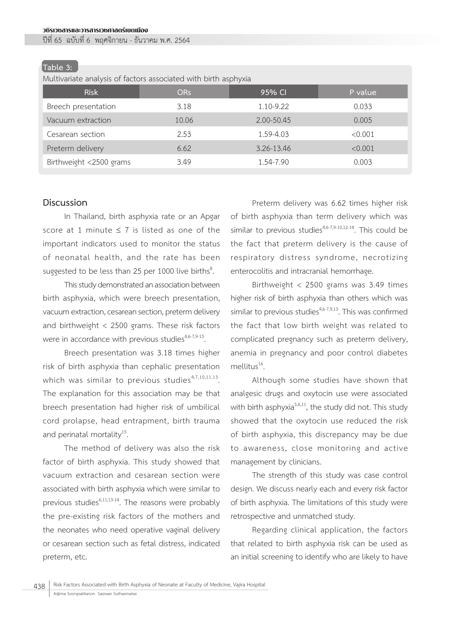#### วชิรเวชสารและวารสารเวชศาสตร์เขตเมือง

ปีที่ 65 ฉบับที่ 6 พฤศจิกายน - ธันวาคม พ.ศ. 2564

#### **Table 3:**

Multivariate analysis of factors associated with birth asphyxia

| <b>Risk</b>             | OR <sub>s</sub> | 95% CI     | P value |
|-------------------------|-----------------|------------|---------|
| Breech presentation     | 3.18            | 1.10-9.22  | 0.033   |
| Vacuum extraction       | 10.06           | 2.00-50.45 | 0.005   |
| Cesarean section        | 2.53            | 1.59-4.03  | < 0.001 |
| Preterm delivery        | 6.62            | 3.26-13.46 | < 0.001 |
| Birthweight <2500 grams | 3.49            | 1.54-7.90  | 0.003   |

#### **Discussion**

In Thailand, birth asphyxia rate or an Apgar score at 1 minute  $\leq$  7 is listed as one of the important indicators used to monitor the status of neonatal health, and the rate has been suggested to be less than 25 per 1000 live births $8$ . .

This study demonstrated an association between birth asphyxia, which were breech presentation, vacuum extraction, cesarean section, preterm delivery and birthweight < 2500 grams. These risk factors were in accordance with previous studies $4,6-7,9-13$ .

Breech presentation was 3.18 times higher risk of birth asphyxia than cephalic presentation which was similar to previous studies $4,7,10,11,13$ . The explanation for this association may be that breech presentation had higher risk of umbilical cord prolapse, head entrapment, birth trauma and perinatal mortality<sup>15</sup>.

The method of delivery was also the risk factor of birth asphyxia. This study showed that vacuum extraction and cesarean section were associated with birth asphyxia which were similar to previous studies $^{6,11,13-14}$ . The reasons were probably the pre-existing risk factors of the mothers and the neonates who need operative vaginal delivery or cesarean section such as fetal distress, indicated preterm, etc.

Preterm delivery was 6.62 times higher risk of birth asphyxia than term delivery which was similar to previous studies<sup>4,6-7,9-10,12-14</sup>. This could be the fact that preterm delivery is the cause of respiratory distress syndrome, necrotizing enterocolitis and intracranial hemorrhage.

Birthweight < 2500 grams was 3.49 times higher risk of birth asphyxia than others which was similar to previous studies $4,6-7,9,13$ . This was confirmed the fact that low birth weight was related to complicated pregnancy such as preterm delivery, anemia in pregnancy and poor control diabetes mellitus<sup>16</sup>.

Although some studies have shown that analgesic drugs and oxytocin use were associated with birth asphyxia $5,6,11$ , the study did not. This study showed that the oxytocin use reduced the risk of birth asphyxia, this discrepancy may be due to awareness, close monitoring and active management by clinicians.

The strength of this study was case control design. We discuss nearly each and every risk factor of birth asphyxia. The limitations of this study were retrospective and unmatched study.

Regarding clinical application, the factors that related to birth asphyxia risk can be used as an initial screening to identify who are likely to have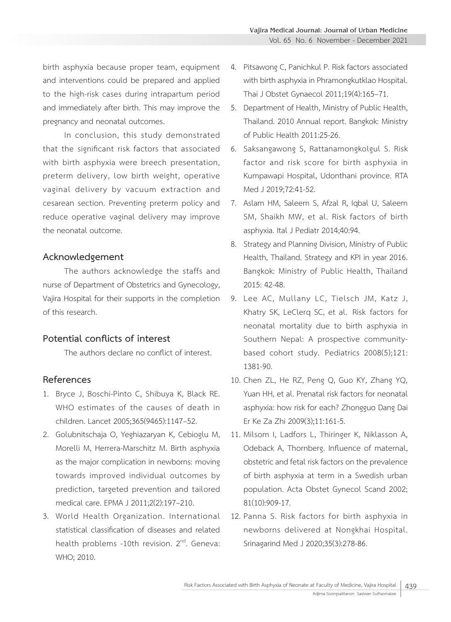birth asphyxia because proper team, equipment and interventions could be prepared and applied to the high-risk cases during intrapartum period and immediately after birth. This may improve the pregnancy and neonatal outcomes.

In conclusion, this study demonstrated that the significant risk factors that associated with birth asphyxia were breech presentation, preterm delivery, low birth weight, operative vaginal delivery by vacuum extraction and cesarean section. Preventing preterm policy and reduce operative vaginal delivery may improve the neonatal outcome.

### **Acknowledgement**

The authors acknowledge the staffs and nurse of Department of Obstetrics and Gynecology, Vajira Hospital for their supports in the completion of this research.

## **Potential conflicts of interest**

The authors declare no conflict of interest.

## **References**

- 1. Bryce J, Boschi-Pinto C, Shibuya K, Black RE. WHO estimates of the causes of death in children. Lancet 2005;365(9465):1147–52.
- 2. Golubnitschaja O, Yeghiazaryan K, Cebioglu M, Morelli M, Herrera-Marschitz M. Birth asphyxia as the major complication in newborns: moving towards improved individual outcomes by prediction, targeted prevention and tailored medical care. EPMA J 2011;2(2):197–210.
- 3. World Health Organization. International statistical classification of diseases and related health problems -10th revision. 2<sup>nd</sup>. Geneva: WHO; 2010.
- 4. Pitsawong C, Panichkul P. Risk factors associated with birth asphyxia in Phramongkutklao Hospital. Thai J Obstet Gynaecol 2011;19(4):165–71.
- 5. Department of Health, Ministry of Public Health, Thailand. 2010 Annual report. Bangkok: Ministry of Public Health 2011:25-26.
- 6. Saksangawong S, Rattanamongkolgul S. Risk factor and risk score for birth asphyxia in Kumpawapi Hospital, Udonthani province. RTA Med J 2019;72:41-52.
- 7. Aslam HM, Saleem S, Afzal R, Iqbal U, Saleem SM, Shaikh MW, et al. Risk factors of birth asphyxia. Ital J Pediatr 2014;40:94.
- 8. Strategy and Planning Division, Ministry of Public Health, Thailand. Strategy and KPI in year 2016. Bangkok: Ministry of Public Health, Thailand 2015: 42-48.
- 9. Lee AC, Mullany LC, Tielsch JM, Katz J, Khatry SK, LeClerq SC, et al. Risk factors for neonatal mortality due to birth asphyxia in Southern Nepal: A prospective communitybased cohort study. Pediatrics 2008(5);121: 1381-90.
- 10. Chen ZL, He RZ, Peng Q, Guo KY, Zhang YQ, Yuan HH, et al. Prenatal risk factors for neonatal asphyxia: how risk for each? Zhongguo Dang Dai Er Ke Za Zhi 2009(3);11:161-5.
- 11. Milsom I, Ladfors L, Thiringer K, Niklasson A, Odeback A, Thornberg. Influence of maternal, obstetric and fetal risk factors on the prevalence of birth asphyxia at term in a Swedish urban population. Acta Obstet Gynecol Scand 2002; 81(10):909-17.
- 12. Panna S. Risk factors for birth asphyxia in newborns delivered at Nongkhai Hospital. Srinagarind Med J 2020;35(3):278-86.